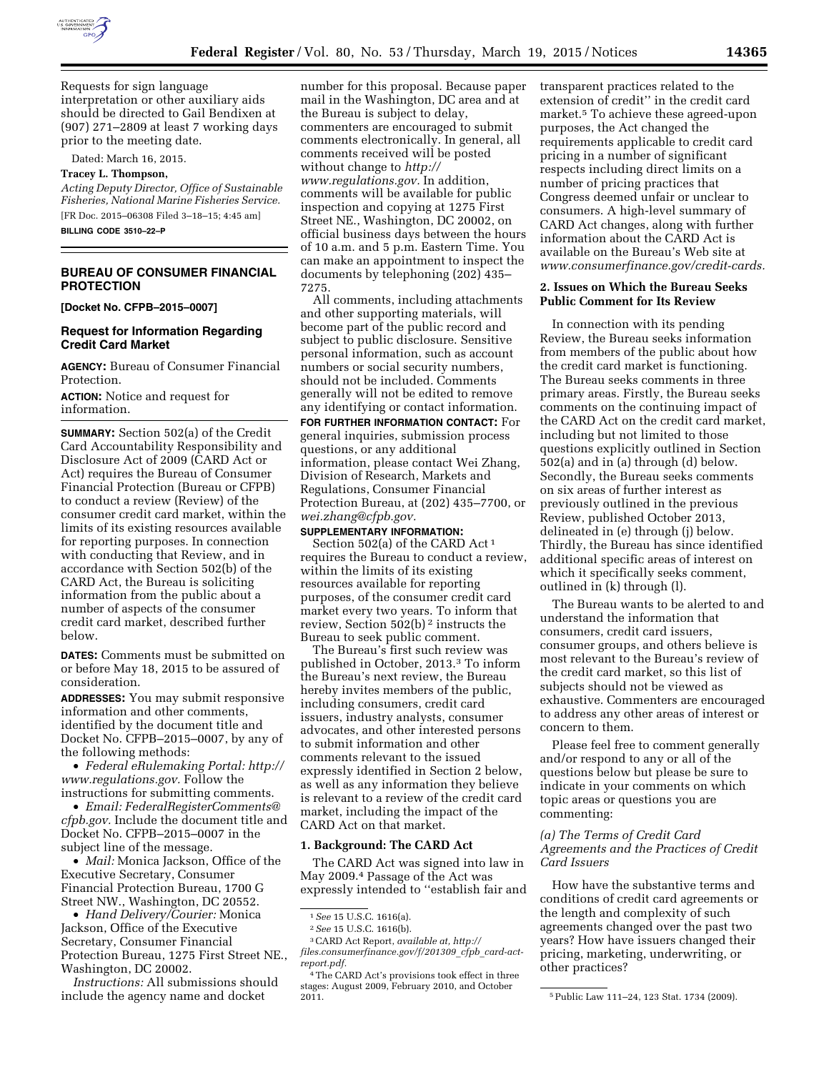

Requests for sign language interpretation or other auxiliary aids should be directed to Gail Bendixen at (907) 271–2809 at least 7 working days

prior to the meeting date. Dated: March 16, 2015.

#### **Tracey L. Thompson,**

*Acting Deputy Director, Office of Sustainable Fisheries, National Marine Fisheries Service.*  [FR Doc. 2015–06308 Filed 3–18–15; 4:45 am]

**BILLING CODE 3510–22–P** 

### **BUREAU OF CONSUMER FINANCIAL PROTECTION**

**[Docket No. CFPB–2015–0007]** 

#### **Request for Information Regarding Credit Card Market**

**AGENCY:** Bureau of Consumer Financial Protection.

**ACTION:** Notice and request for information.

**SUMMARY:** Section 502(a) of the Credit Card Accountability Responsibility and Disclosure Act of 2009 (CARD Act or Act) requires the Bureau of Consumer Financial Protection (Bureau or CFPB) to conduct a review (Review) of the consumer credit card market, within the limits of its existing resources available for reporting purposes. In connection with conducting that Review, and in accordance with Section 502(b) of the CARD Act, the Bureau is soliciting information from the public about a number of aspects of the consumer credit card market, described further below.

**DATES:** Comments must be submitted on or before May 18, 2015 to be assured of consideration.

**ADDRESSES:** You may submit responsive information and other comments, identified by the document title and Docket No. CFPB–2015–0007, by any of the following methods:

• *Federal eRulemaking Portal: [http://](http://www.regulations.gov)  [www.regulations.gov.](http://www.regulations.gov)* Follow the instructions for submitting comments.

• *Email: [FederalRegisterComments@](mailto:FederalRegisterComments@cfpb.gov) [cfpb.gov.](mailto:FederalRegisterComments@cfpb.gov)* Include the document title and Docket No. CFPB–2015–0007 in the subject line of the message.

• *Mail:* Monica Jackson, Office of the Executive Secretary, Consumer Financial Protection Bureau, 1700 G Street NW., Washington, DC 20552.

• *Hand Delivery/Courier:* Monica Jackson, Office of the Executive Secretary, Consumer Financial Protection Bureau, 1275 First Street NE., Washington, DC 20002.

*Instructions:* All submissions should include the agency name and docket

number for this proposal. Because paper mail in the Washington, DC area and at the Bureau is subject to delay, commenters are encouraged to submit comments electronically. In general, all comments received will be posted without change to *[http://](http://www.regulations.gov) [www.regulations.gov.](http://www.regulations.gov)* In addition,

comments will be available for public inspection and copying at 1275 First Street NE., Washington, DC 20002, on official business days between the hours of 10 a.m. and 5 p.m. Eastern Time. You can make an appointment to inspect the documents by telephoning (202) 435– 7275.

All comments, including attachments and other supporting materials, will become part of the public record and subject to public disclosure. Sensitive personal information, such as account numbers or social security numbers, should not be included. Comments generally will not be edited to remove any identifying or contact information.

**FOR FURTHER INFORMATION CONTACT:** For general inquiries, submission process questions, or any additional information, please contact Wei Zhang, Division of Research, Markets and Regulations, Consumer Financial Protection Bureau, at (202) 435–7700, or *[wei.zhang@cfpb.gov.](mailto:wei.zhang@cfpb.gov)* 

#### **SUPPLEMENTARY INFORMATION:**

Section 502(a) of the CARD Act 1 requires the Bureau to conduct a review, within the limits of its existing resources available for reporting purposes, of the consumer credit card market every two years. To inform that review, Section 502(b) 2 instructs the Bureau to seek public comment.

The Bureau's first such review was published in October, 2013.3 To inform the Bureau's next review, the Bureau hereby invites members of the public, including consumers, credit card issuers, industry analysts, consumer advocates, and other interested persons to submit information and other comments relevant to the issued expressly identified in Section 2 below, as well as any information they believe is relevant to a review of the credit card market, including the impact of the CARD Act on that market.

#### **1. Background: The CARD Act**

The CARD Act was signed into law in May 2009.4 Passage of the Act was expressly intended to ''establish fair and transparent practices related to the extension of credit'' in the credit card market.5 To achieve these agreed-upon purposes, the Act changed the requirements applicable to credit card pricing in a number of significant respects including direct limits on a number of pricing practices that Congress deemed unfair or unclear to consumers. A high-level summary of CARD Act changes, along with further information about the CARD Act is available on the Bureau's Web site at *[www.consumerfinance.gov/credit-cards.](http://www.consumerfinance.gov/credit-cards)* 

#### **2. Issues on Which the Bureau Seeks Public Comment for Its Review**

In connection with its pending Review, the Bureau seeks information from members of the public about how the credit card market is functioning. The Bureau seeks comments in three primary areas. Firstly, the Bureau seeks comments on the continuing impact of the CARD Act on the credit card market, including but not limited to those questions explicitly outlined in Section 502(a) and in (a) through (d) below. Secondly, the Bureau seeks comments on six areas of further interest as previously outlined in the previous Review, published October 2013, delineated in (e) through (j) below. Thirdly, the Bureau has since identified additional specific areas of interest on which it specifically seeks comment, outlined in (k) through (l).

The Bureau wants to be alerted to and understand the information that consumers, credit card issuers, consumer groups, and others believe is most relevant to the Bureau's review of the credit card market, so this list of subjects should not be viewed as exhaustive. Commenters are encouraged to address any other areas of interest or concern to them.

Please feel free to comment generally and/or respond to any or all of the questions below but please be sure to indicate in your comments on which topic areas or questions you are commenting:

#### *(a) The Terms of Credit Card Agreements and the Practices of Credit Card Issuers*

How have the substantive terms and conditions of credit card agreements or the length and complexity of such agreements changed over the past two years? How have issuers changed their pricing, marketing, underwriting, or other practices?

<sup>1</sup>*See* 15 U.S.C. 1616(a).

<sup>2</sup>*See* 15 U.S.C. 1616(b).

<sup>3</sup>CARD Act Report, *available at, [http://](http://files.consumerfinance.gov/f/201309_cfpb_card-act-report.pdf) [files.consumerfinance.gov/f/201309](http://files.consumerfinance.gov/f/201309_cfpb_card-act-report.pdf)*\_*cfpb*\_*card-act[report.pdf.](http://files.consumerfinance.gov/f/201309_cfpb_card-act-report.pdf)* 

<sup>4</sup>The CARD Act's provisions took effect in three stages: August 2009, February 2010, and October

<sup>&</sup>lt;sup>5</sup> Public Law 111-24, 123 Stat. 1734 (2009).